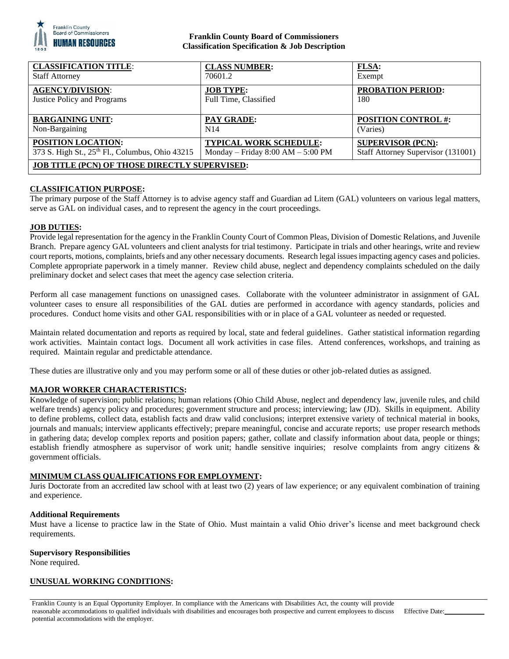

## **Franklin County Board of Commissioners Classification Specification & Job Description**

| <b>CLASSIFICATION TITLE:</b>                         | <b>CLASS NUMBER:</b>                | FLSA:                              |
|------------------------------------------------------|-------------------------------------|------------------------------------|
| <b>Staff Attorney</b>                                | 70601.2                             | Exempt                             |
| <b>AGENCY/DIVISION:</b>                              | <b>JOB TYPE:</b>                    | <b>PROBATION PERIOD:</b>           |
| Justice Policy and Programs                          | Full Time, Classified               | 180                                |
| <b>BARGAINING UNIT:</b>                              | PAY GRADE:                          | <b>POSITION CONTROL #:</b>         |
| Non-Bargaining                                       | N <sub>14</sub>                     | (Varies)                           |
| POSITION LOCATION:                                   | <b>TYPICAL WORK SCHEDULE:</b>       | <b>SUPERVISOR (PCN):</b>           |
| 373 S. High St., 25th Fl., Columbus, Ohio 43215      | Monday – Friday $8:00 AM - 5:00 PM$ | Staff Attorney Supervisor (131001) |
| <b>JOB TITLE (PCN) OF THOSE DIRECTLY SUPERVISED:</b> |                                     |                                    |

## **CLASSIFICATION PURPOSE:**

The primary purpose of the Staff Attorney is to advise agency staff and Guardian ad Litem (GAL) volunteers on various legal matters, serve as GAL on individual cases, and to represent the agency in the court proceedings.

### **JOB DUTIES:**

Provide legal representation for the agency in the Franklin County Court of Common Pleas, Division of Domestic Relations, and Juvenile Branch. Prepare agency GAL volunteers and client analysts for trial testimony. Participate in trials and other hearings, write and review court reports, motions, complaints, briefs and any other necessary documents. Research legal issues impacting agency cases and policies. Complete appropriate paperwork in a timely manner. Review child abuse, neglect and dependency complaints scheduled on the daily preliminary docket and select cases that meet the agency case selection criteria.

Perform all case management functions on unassigned cases. Collaborate with the volunteer administrator in assignment of GAL volunteer cases to ensure all responsibilities of the GAL duties are performed in accordance with agency standards, policies and procedures. Conduct home visits and other GAL responsibilities with or in place of a GAL volunteer as needed or requested.

Maintain related documentation and reports as required by local, state and federal guidelines. Gather statistical information regarding work activities. Maintain contact logs. Document all work activities in case files. Attend conferences, workshops, and training as required. Maintain regular and predictable attendance.

These duties are illustrative only and you may perform some or all of these duties or other job-related duties as assigned.

## **MAJOR WORKER CHARACTERISTICS:**

Knowledge of supervision; public relations; human relations (Ohio Child Abuse, neglect and dependency law, juvenile rules, and child welfare trends) agency policy and procedures; government structure and process; interviewing; law (JD). Skills in equipment. Ability to define problems, collect data, establish facts and draw valid conclusions; interpret extensive variety of technical material in books, journals and manuals; interview applicants effectively; prepare meaningful, concise and accurate reports; use proper research methods in gathering data; develop complex reports and position papers; gather, collate and classify information about data, people or things; establish friendly atmosphere as supervisor of work unit; handle sensitive inquiries; resolve complaints from angry citizens & government officials.

## **MINIMUM CLASS QUALIFICATIONS FOR EMPLOYMENT:**

Juris Doctorate from an accredited law school with at least two (2) years of law experience; or any equivalent combination of training and experience.

### **Additional Requirements**

Must have a license to practice law in the State of Ohio. Must maintain a valid Ohio driver's license and meet background check requirements.

### **Supervisory Responsibilities**

None required.

### **UNUSUAL WORKING CONDITIONS:**

Franklin County is an Equal Opportunity Employer. In compliance with the Americans with Disabilities Act, the county will provide reasonable accommodations to qualified individuals with disabilities and encourages both prospective and current employees to discuss potential accommodations with the employer.

Effective Date: